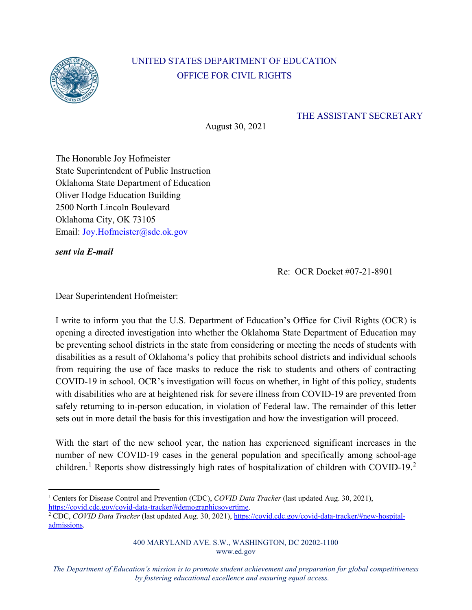

## UNITED STATES DEPARTMENT OF EDUCATION OFFICE FOR CIVIL RIGHTS

## THE ASSISTANT SECRETARY

August 30, 2021

 Oklahoma City, OK 73105 Email: Joy.Hofmeister@sde.ok.gov The Honorable Joy Hofmeister State Superintendent of Public Instruction Oklahoma State Department of Education Oliver Hodge Education Building 2500 North Lincoln Boulevard

*sent via E-mail* 

Re: OCR Docket #07-21-8901

Dear Superintendent Hofmeister:

 be preventing school districts in the state from considering or meeting the needs of students with I write to inform you that the U.S. Department of Education's Office for Civil Rights (OCR) is opening a directed investigation into whether the Oklahoma State Department of Education may disabilities as a result of Oklahoma's policy that prohibits school districts and individual schools from requiring the use of face masks to reduce the risk to students and others of contracting COVID-19 in school. OCR's investigation will focus on whether, in light of this policy, students with disabilities who are at heightened risk for severe illness from COVID-19 are prevented from safely returning to in-person education, in violation of Federal law. The remainder of this letter sets out in more detail the basis for this investigation and how the investigation will proceed.

With the start of the new school year, the nation has experienced significant increases in the number of new COVID-19 cases in the general population and specifically among school-age children.<sup>1</sup> Reports show distressingly high rates of hospitalization of children with COVID-19.<sup>2</sup>

<sup>&</sup>lt;sup>1</sup> Centers for Disease Control and Prevention (CDC), *COVID Data Tracker* (last updated Aug. 30, 2021), https://covid.cdc.gov/covid-data-tracker/#demographicsovertime.

<sup>&</sup>lt;sup>2</sup> CDC, *COVID Data Tracker* (last updated Aug. 30, 2021), https://covid.cdc.gov/covid-data-tracker/#new-hospitaladmissions.

<sup>400</sup> MARYLAND AVE. S.W., WASHINGTON, DC 20202-1100 www.ed.gov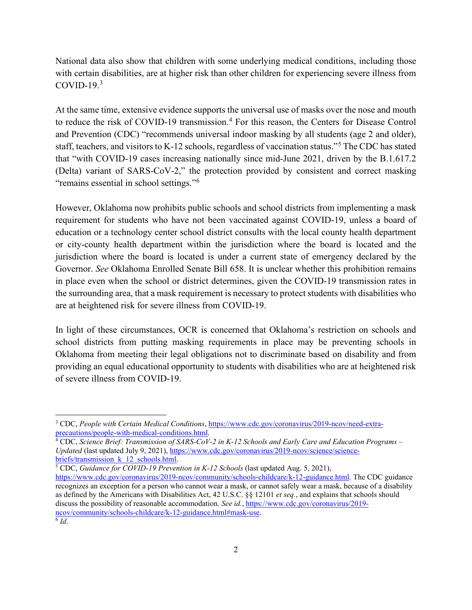National data also show that children with some underlying medical conditions, including those with certain disabilities, are at higher risk than other children for experiencing severe illness from  $COVID-19.<sup>3</sup>$ 

"remains essential in school settings."<sup>6</sup> At the same time, extensive evidence supports the universal use of masks over the nose and mouth to reduce the risk of COVID-19 transmission.<sup>4</sup> For this reason, the Centers for Disease Control and Prevention (CDC) "recommends universal indoor masking by all students (age 2 and older), staff, teachers, and visitors to K-12 schools, regardless of vaccination status."5 The CDC has stated that "with COVID-19 cases increasing nationally since mid-June 2021, driven by the B.1.617.2 (Delta) variant of SARS-CoV-2," the protection provided by consistent and correct masking

are at heightened risk for severe illness from COVID-19. However, Oklahoma now prohibits public schools and school districts from implementing a mask requirement for students who have not been vaccinated against COVID-19, unless a board of education or a technology center school district consults with the local county health department or city-county health department within the jurisdiction where the board is located and the jurisdiction where the board is located is under a current state of emergency declared by the Governor. *See* Oklahoma Enrolled Senate Bill 658. It is unclear whether this prohibition remains in place even when the school or district determines, given the COVID-19 transmission rates in the surrounding area, that a mask requirement is necessary to protect students with disabilities who

In light of these circumstances, OCR is concerned that Oklahoma's restriction on schools and school districts from putting masking requirements in place may be preventing schools in Oklahoma from meeting their legal obligations not to discriminate based on disability and from providing an equal educational opportunity to students with disabilities who are at heightened risk of severe illness from COVID-19.

<sup>&</sup>lt;sup>3</sup> CDC, *People with Certain Medical Conditions*, https://www.cdc.gov/coronavirus/2019-ncov/need-extra-<br>precautions/people-with-medical-conditions.html.

<sup>&</sup>lt;sup>4</sup> CDC, *Science Brief: Transmission of SARS-CoV-2 in K-12 Schools and Early Care and Education Programs – Updated* (last updated July 9, 2021), https://www.cdc.gov/coronavirus/2019-ncov/science/sciencebriefs/transmission\_k\_12\_schools.html. 5 CDC, *Guidance for COVID-19 Prevention in K-12 Schools* (last updated Aug. 5, 2021),

https://www.cdc.gov/coronavirus/2019-ncov/community/schools-childcare/k-12-guidance.html. The CDC guidance recognizes an exception for a person who cannot wear a mask, or cannot safely wear a mask, because of a disability as defined by the Americans with Disabilities Act, 42 U.S.C. §§ 12101 *et seq.*, and explains that schools should discuss the possibility of reasonable accommodation. *See id.*, https://www.cdc.gov/coronavirus/2019 ncov/community/schools-childcare/k-12-guidance.html#mask-use. 6 *Id*.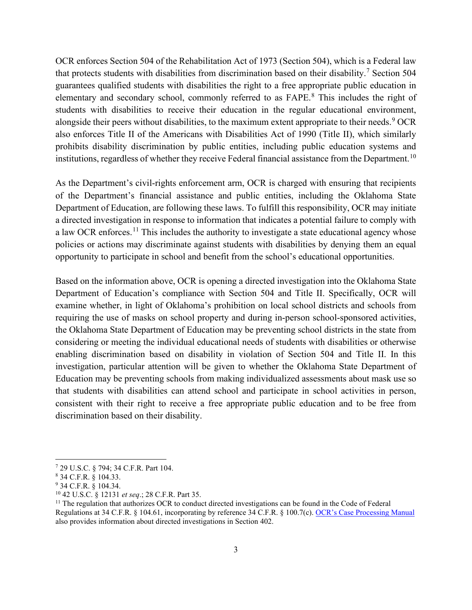alongside their peers without disabilities, to the maximum extent appropriate to their needs.<sup>9</sup> OCR institutions, regardless of whether they receive Federal financial assistance from the Department.<sup>10</sup> OCR enforces Section 504 of the Rehabilitation Act of 1973 (Section 504), which is a Federal law that protects students with disabilities from discrimination based on their disability.<sup>7</sup> Section 504 guarantees qualified students with disabilities the right to a free appropriate public education in elementary and secondary school, commonly referred to as FAPE.<sup>8</sup> This includes the right of students with disabilities to receive their education in the regular educational environment, also enforces Title II of the Americans with Disabilities Act of 1990 (Title II), which similarly prohibits disability discrimination by public entities, including public education systems and

As the Department's civil-rights enforcement arm, OCR is charged with ensuring that recipients of the Department's financial assistance and public entities, including the Oklahoma State Department of Education, are following these laws. To fulfill this responsibility, OCR may initiate a directed investigation in response to information that indicates a potential failure to comply with a law OCR enforces.<sup>11</sup> This includes the authority to investigate a state educational agency whose policies or actions may discriminate against students with disabilities by denying them an equal opportunity to participate in school and benefit from the school's educational opportunities.

Based on the information above, OCR is opening a directed investigation into the Oklahoma State Department of Education's compliance with Section 504 and Title II. Specifically, OCR will examine whether, in light of Oklahoma's prohibition on local school districts and schools from requiring the use of masks on school property and during in-person school-sponsored activities, the Oklahoma State Department of Education may be preventing school districts in the state from considering or meeting the individual educational needs of students with disabilities or otherwise enabling discrimination based on disability in violation of Section 504 and Title II. In this investigation, particular attention will be given to whether the Oklahoma State Department of Education may be preventing schools from making individualized assessments about mask use so that students with disabilities can attend school and participate in school activities in person, consistent with their right to receive a free appropriate public education and to be free from discrimination based on their disability.

also provides information about directed investigations in Section 402.<br>3 <sup>7</sup> 29 U.S.C. § 794; 34 C.F.R. Part 104.<br><sup>8</sup> 34 C.F.R. § 104.33.<br><sup>9</sup> 34 C.F.R. § 104.34.<br><sup>10</sup> 42 U.S.C. § 12131 *et seq*.; 28 C.F.R. Part 35.<br><sup>11</sup> The regulation that authorizes OCR to conduct directed investigations can Regulations at 34 C.F.R. § 104.61, incorporating by reference 34 C.F.R. § 100.7(c). OCR's Case Processing Manual